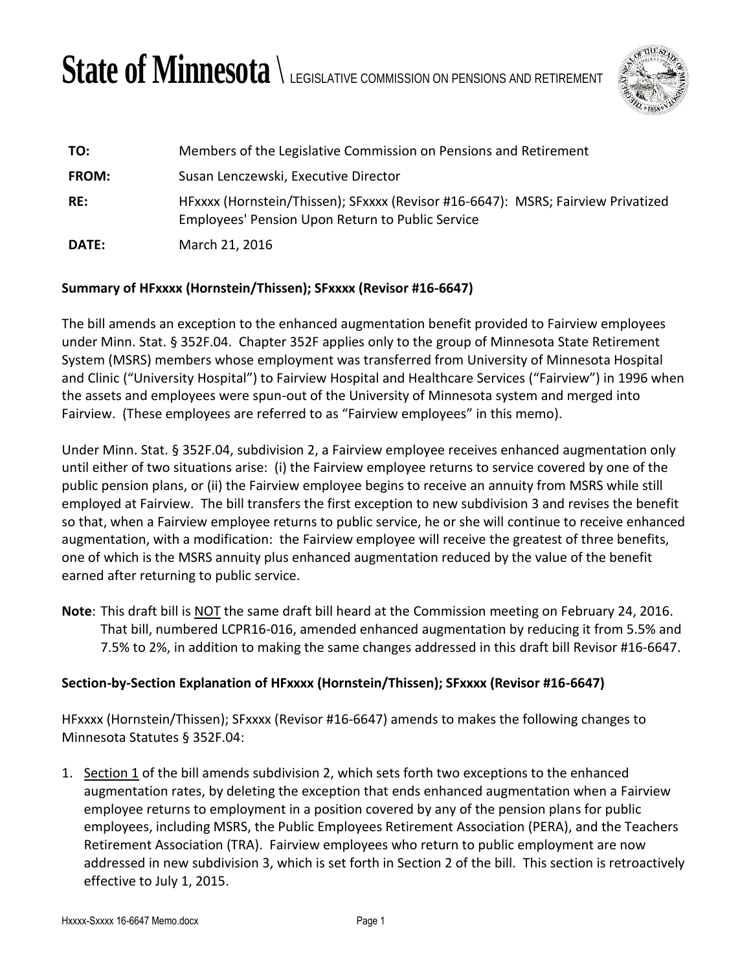# State of Minnesota  $\setminus$  legislative commission on pensions and retirement



| TO:          | Members of the Legislative Commission on Pensions and Retirement                                                                     |
|--------------|--------------------------------------------------------------------------------------------------------------------------------------|
| <b>FROM:</b> | Susan Lenczewski, Executive Director                                                                                                 |
| RE:          | HFxxxx (Hornstein/Thissen); SFxxxx (Revisor #16-6647): MSRS; Fairview Privatized<br>Employees' Pension Upon Return to Public Service |
| <b>DATE:</b> | March 21, 2016                                                                                                                       |

## **Summary of HFxxxx (Hornstein/Thissen); SFxxxx (Revisor #16-6647)**

The bill amends an exception to the enhanced augmentation benefit provided to Fairview employees under Minn. Stat. § 352F.04. Chapter 352F applies only to the group of Minnesota State Retirement System (MSRS) members whose employment was transferred from University of Minnesota Hospital and Clinic ("University Hospital") to Fairview Hospital and Healthcare Services ("Fairview") in 1996 when the assets and employees were spun-out of the University of Minnesota system and merged into Fairview. (These employees are referred to as "Fairview employees" in this memo).

Under Minn. Stat. § 352F.04, subdivision 2, a Fairview employee receives enhanced augmentation only until either of two situations arise: (i) the Fairview employee returns to service covered by one of the public pension plans, or (ii) the Fairview employee begins to receive an annuity from MSRS while still employed at Fairview. The bill transfers the first exception to new subdivision 3 and revises the benefit so that, when a Fairview employee returns to public service, he or she will continue to receive enhanced augmentation, with a modification: the Fairview employee will receive the greatest of three benefits, one of which is the MSRS annuity plus enhanced augmentation reduced by the value of the benefit earned after returning to public service.

**Note**: This draft bill is NOT the same draft bill heard at the Commission meeting on February 24, 2016. That bill, numbered LCPR16-016, amended enhanced augmentation by reducing it from 5.5% and 7.5% to 2%, in addition to making the same changes addressed in this draft bill Revisor #16-6647.

### **Section-by-Section Explanation of HFxxxx (Hornstein/Thissen); SFxxxx (Revisor #16-6647)**

HFxxxx (Hornstein/Thissen); SFxxxx (Revisor #16-6647) amends to makes the following changes to Minnesota Statutes § 352F.04:

1. Section 1 of the bill amends subdivision 2, which sets forth two exceptions to the enhanced augmentation rates, by deleting the exception that ends enhanced augmentation when a Fairview employee returns to employment in a position covered by any of the pension plans for public employees, including MSRS, the Public Employees Retirement Association (PERA), and the Teachers Retirement Association (TRA). Fairview employees who return to public employment are now addressed in new subdivision 3, which is set forth in Section 2 of the bill. This section is retroactively effective to July 1, 2015.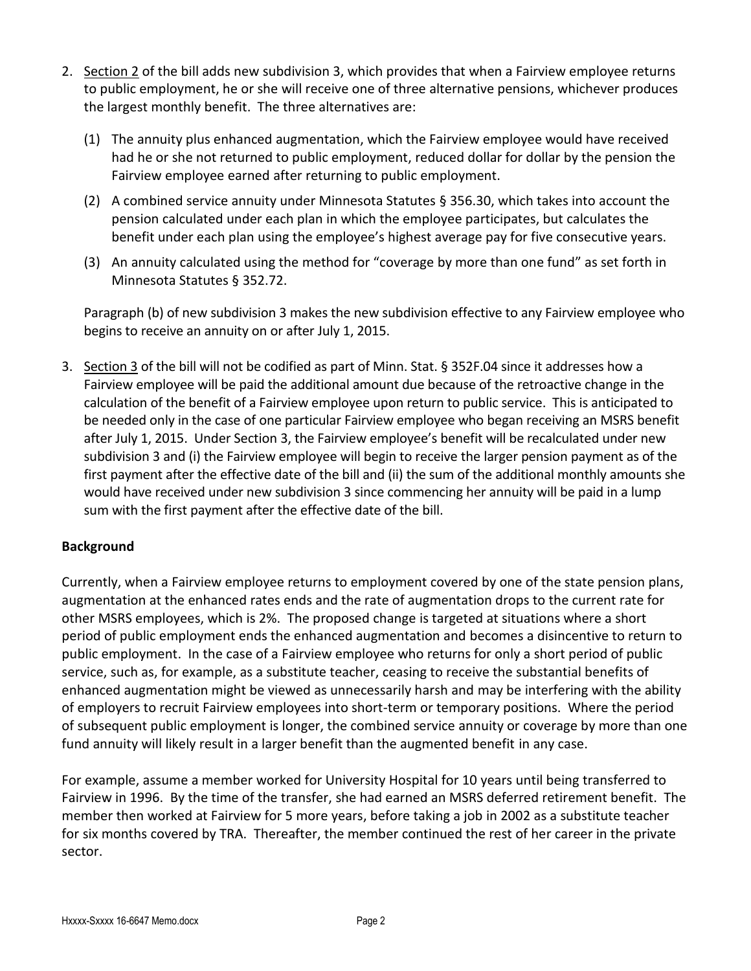- 2. Section 2 of the bill adds new subdivision 3, which provides that when a Fairview employee returns to public employment, he or she will receive one of three alternative pensions, whichever produces the largest monthly benefit. The three alternatives are:
	- (1) The annuity plus enhanced augmentation, which the Fairview employee would have received had he or she not returned to public employment, reduced dollar for dollar by the pension the Fairview employee earned after returning to public employment.
	- (2) A combined service annuity under Minnesota Statutes § 356.30, which takes into account the pension calculated under each plan in which the employee participates, but calculates the benefit under each plan using the employee's highest average pay for five consecutive years.
	- (3) An annuity calculated using the method for "coverage by more than one fund" as set forth in Minnesota Statutes § 352.72.

Paragraph (b) of new subdivision 3 makes the new subdivision effective to any Fairview employee who begins to receive an annuity on or after July 1, 2015.

3. Section 3 of the bill will not be codified as part of Minn. Stat. § 352F.04 since it addresses how a Fairview employee will be paid the additional amount due because of the retroactive change in the calculation of the benefit of a Fairview employee upon return to public service. This is anticipated to be needed only in the case of one particular Fairview employee who began receiving an MSRS benefit after July 1, 2015. Under Section 3, the Fairview employee's benefit will be recalculated under new subdivision 3 and (i) the Fairview employee will begin to receive the larger pension payment as of the first payment after the effective date of the bill and (ii) the sum of the additional monthly amounts she would have received under new subdivision 3 since commencing her annuity will be paid in a lump sum with the first payment after the effective date of the bill.

### **Background**

Currently, when a Fairview employee returns to employment covered by one of the state pension plans, augmentation at the enhanced rates ends and the rate of augmentation drops to the current rate for other MSRS employees, which is 2%. The proposed change is targeted at situations where a short period of public employment ends the enhanced augmentation and becomes a disincentive to return to public employment. In the case of a Fairview employee who returns for only a short period of public service, such as, for example, as a substitute teacher, ceasing to receive the substantial benefits of enhanced augmentation might be viewed as unnecessarily harsh and may be interfering with the ability of employers to recruit Fairview employees into short-term or temporary positions. Where the period of subsequent public employment is longer, the combined service annuity or coverage by more than one fund annuity will likely result in a larger benefit than the augmented benefit in any case.

For example, assume a member worked for University Hospital for 10 years until being transferred to Fairview in 1996. By the time of the transfer, she had earned an MSRS deferred retirement benefit. The member then worked at Fairview for 5 more years, before taking a job in 2002 as a substitute teacher for six months covered by TRA. Thereafter, the member continued the rest of her career in the private sector.